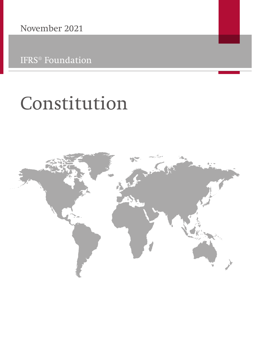

IFRS® Foundation

# **Constitution**

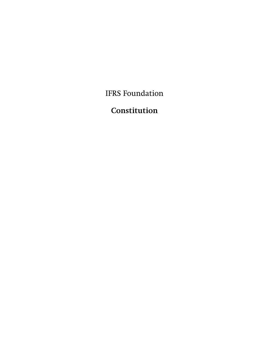IFRS Foundation

**Constitution**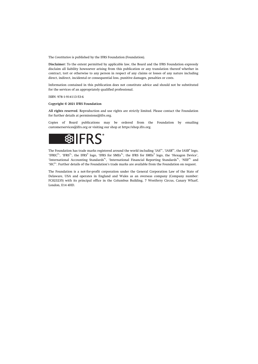The *Constitution* is published by the IFRS Foundation (Foundation).

**Disclaimer:** To the extent permitted by applicable law, the Board and the IFRS Foundation expressly disclaim all liability howsoever arising from this publication or any translation thereof whether in contract, tort or otherwise to any person in respect of any claims or losses of any nature including direct, indirect, incidental or consequential loss, punitive damages, penalties or costs.

Information contained in this publication does not constitute advice and should not be substituted for the services of an appropriately qualified professional.

ISBN: 978-1-914113-53-6

#### **Copyright © 2021 IFRS Foundation**

**All rights reserved.** Reproduction and use rights are strictly limited. Please contact the Foundation for further details at [permissions@ifrs.org](mailto:permissions@ifrs.org).

Copies of Board publications may be ordered from the Foundation by emailing [customerservices@ifrs.org](mailto:customerservices@ifrs.org) or visiting our shop at<https://shop.ifrs.org>.



The Foundation has trade marks registered around the world including 'IAS<sup>®</sup>', 'IASB<sup>®</sup>', the IASB<sup>®</sup> logo, 'IFRIC®', 'IFRS®', the IFRS® logo, 'IFRS for SMEs®', the IFRS for SMEs® logo, the 'Hexagon Device', 'International Accounting Standards®', 'International Financial Reporting Standards®', 'NIIF®' and 'SIC®'. Further details of the Foundation's trade marks are available from the Foundation on request.

The Foundation is a not-for-profit corporation under the General Corporation Law of the State of Delaware, USA and operates in England and Wales as an overseas company (Company number: FC023235) with its principal office in the Columbus Building, 7 Westferry Circus, Canary Wharf, London, E14 4HD.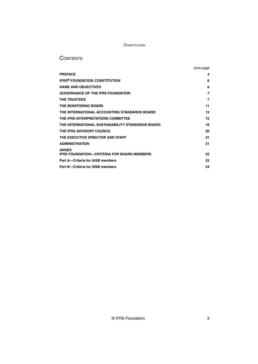## **CONTENTS**

|                                                   | from page |
|---------------------------------------------------|-----------|
| <b>PREFACE</b>                                    | 4         |
| <b>IFRS® FOUNDATION CONSTITUTION</b>              | 6         |
| <b>NAME AND OBJECTIVES</b>                        | 6         |
| <b>GOVERNANCE OF THE IFRS FOUNDATION</b>          | 7         |
| <b>THE TRUSTEES</b>                               | 7         |
| THE MONITORING BOARD                              | 11        |
| THE INTERNATIONAL ACCOUNTING STANDARDS BOARD      | 12        |
| THE IFRS INTERPRETATIONS COMMITTEE                | 15        |
| THE INTERNATIONAL SUSTAINABILITY STANDARDS BOARD  | 16        |
| THE IFRS ADVISORY COUNCIL                         | 20        |
| THE EXECUTIVE DIRECTOR AND STAFF                  | 21        |
| <b>ADMINISTRATION</b>                             | 21        |
| <b>ANNFX</b>                                      |           |
| <b>IFRS FOUNDATION-CRITERIA FOR BOARD MEMBERS</b> | 22        |
| <b>Part A-Criteria for IASB members</b>           | 22        |
| Part B-Criteria for ISSB members                  | 24        |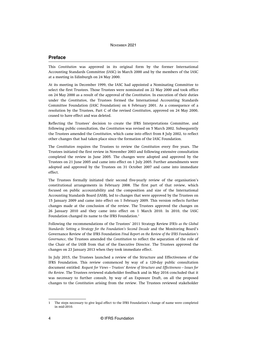## <span id="page-4-0"></span>**Preface**

This *Constitution* was approved in its original form by the former International Accounting Standards Committee (IASC) in March 2000 and by the members of the IASC at a meeting in Edinburgh on 24 May 2000.

At its meeting in December 1999, the IASC had appointed a Nominating Committee to select the first Trustees. Those Trustees were nominated on 22 May 2000 and took office on 24 May 2000 as a result of the approval of the *Constitution*. In execution of their duties under the *Constitution*, the Trustees formed the International Accounting Standards Committee Foundation (IASC Foundation) on 6 February 2001. As a consequence of a resolution by the Trustees, Part C of the revised *Constitution*, approved on 24 May 2000, ceased to have effect and was deleted.

Reflecting the Trustees' decision to create the IFRS Interpretations Committee, and following public consultation, the *Constitution* was revised on 5 March 2002. Subsequently the Trustees amended the *Constitution*, which came into effect from 8 July 2002, to reflect other changes that had taken place since the formation of the IASC Foundation.

The *Constitution* requires the Trustees to review the *Constitution* every five years. The Trustees initiated the first review in November 2003 and following extensive consultation completed the review in June 2005. The changes were adopted and approved by the Trustees on 21 June 2005 and came into effect on 1 July 2005. Further amendments were adopted and approved by the Trustees on 31 October 2007 and came into immediate effect.

The Trustees formally initiated their second five-yearly review of the organisation's constitutional arrangements in February 2008. The first part of that review, which focused on public accountability and the composition and size of the International Accounting Standards Board (IASB), led to changes that were approved by the Trustees on 15 January 2009 and came into effect on 1 February 2009. This version reflects further changes made at the conclusion of the review. The Trustees approved the changes on 26 January 2010 and they came into effect on 1 March 2010. In 2010, the IASC Foundation changed its name to the IFRS Foundation.<sup>1</sup>

Following the recommendations of the Trustees' 2011 Strategy Review *IFRSs as the Global Standards: Setting a Strategy for the Foundation's Second Decade* and the Monitoring Board's Governance Review of the IFRS Foundation *Final Report on the Review of the IFRS Foundation's Governance*, the Trustees amended the *Constitution* to reflect the separation of the role of the Chair of the IASB from that of the Executive Director. The Trustees approved the changes on 23 January 2013 when they took immediate effect.

In July 2015, the Trustees launched a review of the Structure and Effectiveness of the IFRS Foundation. This review commenced by way of a 120-day public consultation document entitled: *Request for Views—Trustees' Review of Structure and Effectiveness—Issues for the Review*. The Trustees reviewed stakeholder feedback and in May 2016 concluded that it was necessary to further consult, by way of an Exposure Draft, on all the proposed changes to the *Constitution* arising from the review. The Trustees reviewed stakeholder

<sup>1</sup> The steps necessary to give legal effect to the IFRS Foundation's change of name were completed  $in$  mid-2010.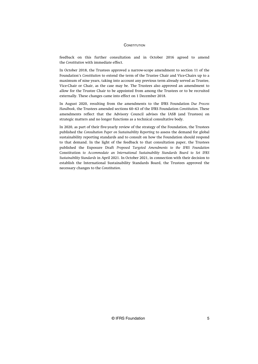feedback on this further consultation and in October 2016 agreed to amend the *Constitution* with immediate effect.

In October 2018, the Trustees approved a narrow-scope amendment t[o section 11 of the](#page-8-0) [Foundation's](#page-8-0) *Constitution* to extend the term of the Trustee Chair and Vice-Chairs up to a maximum of nine years, taking into account any previous term already served as Trustee, Vice-Chair or Chair, as the case may be. The Trustees also approved an amendment to allow for the Trustee Chair to be appointed from among the Trustees or to be recruited externally. These changes came into effect on 1 December 2018.

In August 2020, resulting from the amendments to the IFRS Foundation *Due Process Handbook*, the Trustees amended [sections 60–63 of the IFRS Foundation](#page-20-0) *Constitution*. These amendments reflect that the Advisory Council advises the IASB (and Trustees) on strategic matters and no longer functions as a technical consultative body.

In 2020, as part of their five-yearly review of the strategy of the Foundation, the Trustees published the *Consultation Paper on Sustainability Reporting* to assess the demand for global sustainability reporting standards and to consult on how the Foundation should respond to that demand. In the light of the feedback to that consultation paper, the Trustees published the Exposure Draft *Proposed Targeted Amendments to the IFRS Foundation* Constitution *to Accommodate an International Sustainability Standards Board to Set IFRS Sustainability Standards* in April 2021. In October 2021, in connection with their decision to establish the International Sustainability Standards Board, the Trustees approved the necessary changes to the *Constitution*.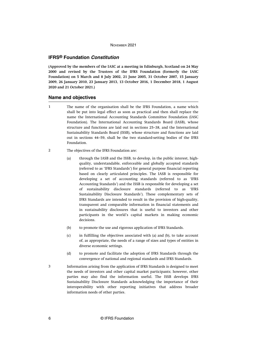## <span id="page-6-0"></span>**IFRS® Foundation Constitution**

**(Approved by the members of the IASC at a meeting in Edinburgh, Scotland on 24 May 2000 and revised by the Trustees of the IFRS Foundation (formerly the IASC Foundation) on 5 March and 8 July 2002, 21 June 2005, 31 October 2007, 15 January 2009, 26 January 2010, 23 January 2013, 13 October 2016, 1 December 2018, 1 August 2020 and 21 October 2021.)**

#### **Name and objectives**

- The name of the organisation shall be the IFRS Foundation, a name which shall be put into legal effect as soon as practical and then shall replace the name the International Accounting Standards Committee Foundation (IASC Foundation). The International Accounting Standards Board (IASB), whose structure and functions are laid out in [sections 25–38,](#page-12-0) and the International Sustainability Standards Board (ISSB), whose structure and functions are laid out in [sections 44–59](#page-16-0), shall be the two standard-setting bodies of the IFRS Foundation. 1
- The objectives of the IFRS Foundation are: 2
	- (a) through the IASB and the ISSB, to develop, in the public interest, highquality, understandable, enforceable and globally accepted standards (referred to as 'IFRS Standards') for general purpose financial reporting based on clearly articulated principles. The IASB is responsible for developing a set of accounting standards (referred to as 'IFRS Accounting Standards') and the ISSB is responsible for developing a set of sustainability disclosure standards (referred to as 'IFRS Sustainability Disclosure Standards'). These complementary sets of IFRS Standards are intended to result in the provision of high-quality, transparent and comparable information in financial statements and in sustainability disclosures that is useful to investors and other participants in the world's capital markets in making economic decisions.
	- (b) to promote the use and rigorous application of IFRS Standards.
	- (c) in fulfilling the objectives associated with (a) and (b), to take account of, as appropriate, the needs of a range of sizes and types of entities in diverse economic settings.
	- (d) to promote and facilitate the adoption of IFRS Standards through the convergence of national and regional standards and IFRS Standards.
- Information arising from the application of IFRS Standards is designed to meet the needs of investors and other capital market participants; however, other parties may also find the information useful. The ISSB develops IFRS Sustainability Disclosure Standards acknowledging the importance of their interoperability with other reporting initiatives that address broader information needs of other parties. 3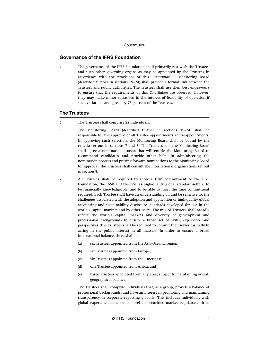#### <span id="page-7-0"></span>**Governance of the IFRS Foundation**

The governance of the IFRS Foundation shall primarily rest with the Trustees and such other governing organs as may be appointed by the Trustees in accordance with the provisions of this *Constitution*. A Monitoring Board (described further in [sections 19–24](#page-11-0)) shall provide a formal link between the Trustees and public authorities. The Trustees shall use their best endeavours to ensure that the requirements of this *Constitution* are observed; however, they may make minor variations in the interest of feasibility of operation if such variations are agreed by 75 per cent of the Trustees. 4

## **The Trustees**

8

- The Trustees shall comprise 22 individuals. 5
- The Monitoring Board (described further in [sections 19–24](#page-11-0)) shall be responsible for the approval of all Trustee appointments and reappointments. In approving such selection, the Monitoring Board shall be bound by the criteria set out in sections 7 and 8. The Trustees and the Monitoring Board shall agree a nomination process that will entitle the Monitoring Board to recommend candidates and provide other help. In administering the nomination process and putting forward nominations to the Monitoring Board for approval, the Trustees shall consult the international organisations set out in section 8. 6
- All Trustees shall be required to show a firm commitment to the IFRS Foundation, the IASB and the ISSB as high-quality global standard-setters, to be financially knowledgeable, and to be able to meet the time commitment required. Each Trustee shall have an understanding of, and be sensitive to, the challenges associated with the adoption and application of high-quality global accounting and sustainability disclosure standards developed for use in the world's capital markets and by other users. The mix of Trustees shall broadly reflect the world's capital markets and diversity of geographical and professional backgrounds to ensure a broad set of skills, experience and perspectives. The Trustees shall be required to commit themselves formally to acting in the public interest in all matters. In order to ensure a broad international balance, there shall be: 7
	- (a) six Trustees appointed from the Asia-Oceania region;
	- (b) six Trustees appointed from Europe;
	- (c) six Trustees appointed from the Americas;
	- (d) one Trustee appointed from Africa; and
	- (e) three Trustees appointed from any area, subject to maintaining overall geographical balance.
	- The Trustees shall comprise individuals that, as a group, provide a balance of professional backgrounds, and have an interest in promoting and maintaining transparency in corporate reporting globally. This includes individuals with global experience at a senior level in securities market regulators, firms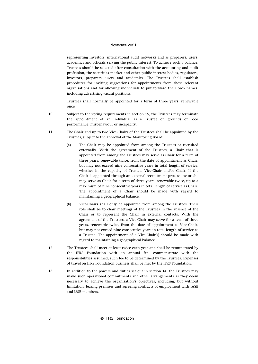<span id="page-8-0"></span>representing investors, international audit networks and as preparers, users, academics and officials serving the public interest. To achieve such a balance, Trustees should be selected after consultation with the accounting and audit profession, the securities market and other public interest bodies, regulators, investors, preparers, users and academics. The Trustees shall establish procedures for inviting suggestions for appointments from these relevant organisations and for allowing individuals to put forward their own names, including advertising vacant positions.

- Trustees shall normally be appointed for a term of three years, renewable once. 9
- Subject to the voting requirements in [section 15](#page-9-0), the Trustees may terminate the appointment of an individual as a Trustee on grounds of poor performance, misbehaviour or incapacity. 10
- The Chair and up to two Vice-Chairs of the Trustees shall be appointed by the Trustees, subject to the approval of the Monitoring Board: 11
	- (a) The Chair may be appointed from among the Trustees or recruited externally. With the agreement of the Trustees, a Chair that is appointed from among the Trustees may serve as Chair for a term of three years, renewable twice, from the date of appointment as Chair, but may not exceed nine consecutive years in total length of service, whether in the capacity of Trustee, Vice-Chair and/or Chair. If the Chair is appointed through an external recruitment process, he or she may serve as Chair for a term of three years, renewable twice, up to a maximum of nine consecutive years in total length of service as Chair. The appointment of a Chair should be made with regard to maintaining a geographical balance.
	- (b) Vice-Chairs shall only be appointed from among the Trustees. Their role shall be to chair meetings of the Trustees in the absence of the Chair or to represent the Chair in external contacts. With the agreement of the Trustees, a Vice-Chair may serve for a term of three years, renewable twice, from the date of appointment as Vice-Chair, but may not exceed nine consecutive years in total length of service as a Trustee. The appointment of a Vice-Chair(s) should be made with regard to maintaining a geographical balance.
- The Trustees shall meet at least twice each year and shall be remunerated by the IFRS Foundation with an annual fee, commensurate with the responsibilities assumed, such fee to be determined by the Trustees. Expenses of travel on IFRS Foundation business shall be met by the IFRS Foundation. 12
- In addition to the powers and duties set out in [section 14](#page-9-0), the Trustees may make such operational commitments and other arrangements as they deem necessary to achieve the organisation's objectives, including, but without limitation, leasing premises and agreeing contracts of employment with IASB and ISSB members. 13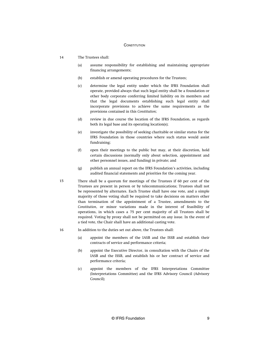- <span id="page-9-0"></span>The Trustees shall: 14
	- (a) assume responsibility for establishing and maintaining appropriate financing arrangements;
	- (b) establish or amend operating procedures for the Trustees;
	- (c) determine the legal entity under which the IFRS Foundation shall operate, provided always that such legal entity shall be a foundation or other body corporate conferring limited liability on its members and that the legal documents establishing such legal entity shall incorporate provisions to achieve the same requirements as the provisions contained in this *Constitution*;
	- (d) review in due course the location of the IFRS Foundation, as regards both its legal base and its operating location(s);
	- (e) investigate the possibility of seeking charitable or similar status for the IFRS Foundation in those countries where such status would assist fundraising;
	- (f) open their meetings to the public but may, at their discretion, hold certain discussions (normally only about selection, appointment and other personnel issues, and funding) in private; and
	- (g) publish an annual report on the IFRS Foundation's activities, including audited financial statements and priorities for the coming year.
- There shall be a quorum for meetings of the Trustees if 60 per cent of the Trustees are present in person or by telecommunications; Trustees shall not be represented by alternates. Each Trustee shall have one vote, and a simple majority of those voting shall be required to take decisions on matters other than termination of the appointment of a Trustee, amendments to the *Constitution*, or minor variations made in the interest of feasibility of operations, in which cases a 75 per cent majority of all Trustees shall be required. Voting by proxy shall not be permitted on any issue. In the event of a tied vote, the Chair shall have an additional casting vote. 15
- In addition to the duties set out above, the Trustees shall: 16
	- (a) appoint the members of the IASB and the ISSB and establish their contracts of service and performance criteria;
	- (b) appoint the Executive Director, in consultation with the Chairs of the IASB and the ISSB, and establish his or her contract of service and performance criteria;
	- (c) appoint the members of the IFRS Interpretations Committee (Interpretations Committee) and the IFRS Advisory Council (Advisory Council);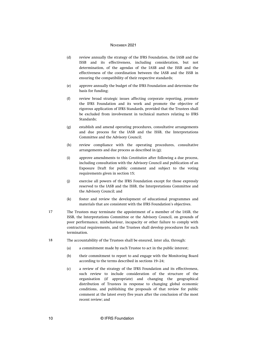- (d) review annually the strategy of the IFRS Foundation, the IASB and the ISSB and its effectiveness, including consideration, but not determination, of the agendas of the IASB and the ISSB and the effectiveness of the coordination between the IASB and the ISSB in ensuring the compatibility of their respective standards;
- (e) approve annually the budget of the IFRS Foundation and determine the basis for funding;
- (f) review broad strategic issues affecting corporate reporting, promote the IFRS Foundation and its work and promote the objective of rigorous application of IFRS Standards, provided that the Trustees shall be excluded from involvement in technical matters relating to IFRS Standards;
- (g) establish and amend operating procedures, consultative arrangements and due process for the IASB and the ISSB, the Interpretations Committee and the Advisory Council;
- (h) review compliance with the operating procedures, consultative arrangements and due process as described in (g);
- (i) approve amendments to this *Constitution* after following a due process, including consultation with the Advisory Council and publication of an Exposure Draft for public comment and subject to the voting requirements given in [section 15](#page-9-0);
- (j) exercise all powers of the IFRS Foundation except for those expressly reserved to the IASB and the ISSB, the Interpretations Committee and the Advisory Council; and
- (k) foster and review the development of educational programmes and materials that are consistent with the IFRS Foundation's objectives.
- The Trustees may terminate the appointment of a member of the IASB, the ISSB, the Interpretations Committee or the Advisory Council, on grounds of poor performance, misbehaviour, incapacity or other failure to comply with contractual requirements, and the Trustees shall develop procedures for such termination. 17
- The accountability of the Trustees shall be ensured, inter alia, through: 18
	- (a) a commitment made by each Trustee to act in the public interest;
	- (b) their commitment to report to and engage with the Monitoring Board according to the terms described in [sections 19–24](#page-11-0);
	- (c) a review of the strategy of the IFRS Foundation and its effectiveness, such review to include consideration of the structure of the organisation (if appropriate) and changing the geographical distribution of Trustees in response to changing global economic conditions, and publishing the proposals of that review for public comment at the latest every five years after the conclusion of the most recent review; and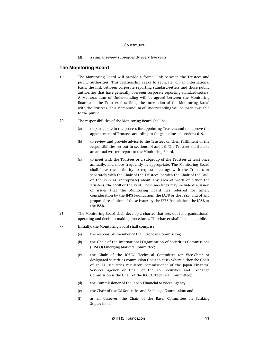(d) a similar review subsequently every five years.

#### <span id="page-11-0"></span>**The Monitoring Board**

- The Monitoring Board will provide a formal link between the Trustees and public authorities. This relationship seeks to replicate, on an international basis, the link between corporate reporting standard-setters and those public authorities that have generally overseen corporate reporting standard-setters. A Memorandum of Understanding will be agreed between the Monitoring Board and the Trustees describing the interaction of the Monitoring Board with the Trustees. This Memorandum of Understanding will be made available to the public. 19
- The responsibilities of the Monitoring Board shall be: 20
	- (a) to participate in the process for appointing Trustees and to approve the appointment of Trustees according to the guidelines in [sections 6–9.](#page-7-0)
	- (b) to review and provide advice to the Trustees on their fulfilment of the responsibilities set out in [sections 14](#page-9-0) and [16.](#page-9-0) The Trustees shall make an annual written report to the Monitoring Board.
	- (c) to meet with the Trustees or a subgroup of the Trustees at least once annually, and more frequently as appropriate. The Monitoring Board shall have the authority to request meetings with the Trustees or separately with the Chair of the Trustees (or with the Chair of the IASB or the ISSB as appropriate) about any area of work of either the Trustees, the IASB or the ISSB. These meetings may include discussion of issues that the Monitoring Board has referred for timely consideration by the IFRS Foundation, the IASB or the ISSB, and of any proposed resolution of those issues by the IFRS Foundation, the IASB or the ISSB.
- The Monitoring Board shall develop a charter that sets out its organisational, operating and decision-making procedures. The charter shall be made public. 21
- Initially, the Monitoring Board shall comprise:  $22$ 
	- (a) the responsible member of the European Commission;
	- (b) the Chair of the International Organization of Securities Commissions (IOSCO) Emerging Markets Committee;
	- (c) the Chair of the IOSCO Technical Committee (or Vice-Chair or designated securities commission Chair in cases where either the Chair of an EU securities regulator, commissioner of the Japan Financial Services Agency or Chair of the US Securities and Exchange Commission is the Chair of the IOSCO Technical Committee);
	- (d) the Commissioner of the Japan Financial Services Agency;
	- (e) the Chair of the US Securities and Exchange Commission; and
	- (f) as an observer, the Chair of the Basel Committee on Banking Supervision.

© IFRS Foundation 11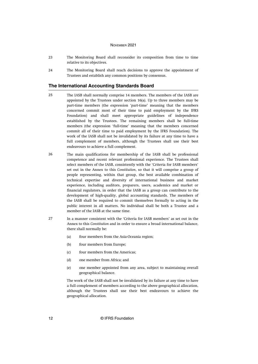- <span id="page-12-0"></span>The Monitoring Board shall reconsider its composition from time to time relative to its objectives. 23
- The Monitoring Board shall reach decisions to approve the appointment of Trustees and establish any common positions by consensus. 24

#### **The International Accounting Standards Board**

- The IASB shall normally comprise 14 members. The members of the IASB are appointed by the Trustees under [section 16\(a\)](#page-9-0). Up to three members may be part-time members (the expression 'part-time' meaning that the members concerned commit most of their time to paid employment by the IFRS Foundation) and shall meet appropriate guidelines of independence established by the Trustees. The remaining members shall be full-time members (the expression 'full-time' meaning that the members concerned commit all of their time to paid employment by the IFRS Foundation). The work of the IASB shall not be invalidated by its failure at any time to have a full complement of members, although the Trustees shall use their best endeavours to achieve a full complement. 25
- The main qualifications for membership of the IASB shall be professional competence and recent relevant professional experience. The Trustees shall select members of the IASB, consistently with the 'Criteria for IASB members' set out in the [Annex to this](#page-22-0) *Constitution*, so that it will comprise a group of people representing, within that group, the best available combination of technical expertise and diversity of international business and market experience, including auditors, preparers, users, academics and market or financial regulators, in order that the IASB as a group can contribute to the development of high-quality, global accounting standards. The members of the IASB shall be required to commit themselves formally to acting in the public interest in all matters. No individual shall be both a Trustee and a member of the IASB at the same time. 26
- In a manner consistent with the 'Criteria for IASB members' as set out in the [Annex to this](#page-22-0) *Constitution* and in order to ensure a broad international balance, there shall normally be: 27
	- (a) four members from the Asia-Oceania region;
	- (b) four members from Europe;
	- (c) four members from the Americas;
	- (d) one member from Africa; and
	- (e) one member appointed from any area, subject to maintaining overall geographical balance.

The work of the IASB shall not be invalidated by its failure at any time to have a full complement of members according to the above geographical allocation, although the Trustees shall use their best endeavours to achieve the geographical allocation.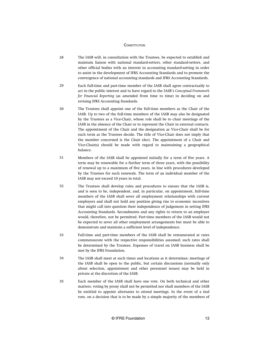- The IASB will, in consultation with the Trustees, be expected to establish and maintain liaison with national standard-setters, other standard-setters, and other official bodies with an interest in accounting standard-setting in order to assist in the development of IFRS Accounting Standards and to promote the convergence of national accounting standards and IFRS Accounting Standards. 28
- Each full-time and part-time member of the IASB shall agree contractually to act in the public interest and to have regard to the IASB's *Conceptual Framework for Financial Reporting* (as amended from time to time) in deciding on and revising IFRS Accounting Standards. 29
- The Trustees shall appoint one of the full-time members as the Chair of the IASB. Up to two of the full-time members of the IASB may also be designated by the Trustees as a Vice-Chair, whose role shall be to chair meetings of the IASB in the absence of the Chair or to represent the Chair in external contacts. The appointment of the Chair and the designation as Vice-Chair shall be for such term as the Trustees decide. The title of Vice-Chair does not imply that the member concerned is the Chair elect. The appointment of a Chair and Vice-Chair(s) should be made with regard to maintaining a geographical balance. 30
- Members of the IASB shall be appointed initially for a term of five years. A term may be renewable for a further term of three years, with the possibility of renewal up to a maximum of five years, in line with procedures developed by the Trustees for such renewals. The term of an individual member of the IASB may not exceed 10 years in total. 31
- The Trustees shall develop rules and procedures to ensure that the IASB is, and is seen to be, independent, and, in particular, on appointment, full-time members of the IASB shall sever all employment relationships with current employers and shall not hold any position giving rise to economic incentives that might call into question their independence of judgement in setting IFRS Accounting Standards. Secondments and any rights to return to an employer would, therefore, not be permitted. Part-time members of the IASB would not be expected to sever all other employment arrangements but must be able to demonstrate and maintain a sufficient level of independence. 32
- Full-time and part-time members of the IASB shall be remunerated at rates commensurate with the respective responsibilities assumed; such rates shall be determined by the Trustees. Expenses of travel on IASB business shall be met by the IFRS Foundation. 33
- The IASB shall meet at such times and locations as it determines; meetings of the IASB shall be open to the public, but certain discussions (normally only about selection, appointment and other personnel issues) may be held in private at the discretion of the IASB. 34
- Each member of the IASB shall have one vote. On both technical and other matters, voting by proxy shall not be permitted nor shall members of the IASB be entitled to appoint alternates to attend meetings. In the event of a tied vote, on a decision that is to be made by a simple majority of the members of 35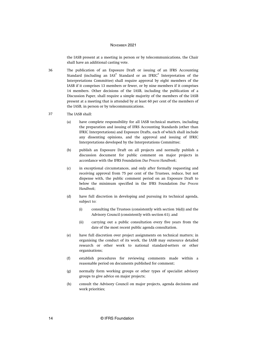the IASB present at a meeting in person or by telecommunications, the Chair shall have an additional casting vote.

- The publication of an Exposure Draft or issuing of an IFRS Accounting Standard (including an IAS® Standard or an IFRIC® Interpretation of the Interpretations Committee) shall require approval by eight members of the IASB if it comprises 13 members or fewer, or by nine members if it comprises 14 members. Other decisions of the IASB, including the publication of a Discussion Paper, shall require a simple majority of the members of the IASB present at a meeting that is attended by at least 60 per cent of the members of the IASB, in person or by telecommunications. 36
- The IASB shall: 37
	- (a) have complete responsibility for all IASB technical matters, including the preparation and issuing of IFRS Accounting Standards (other than IFRIC Interpretations) and Exposure Drafts, each of which shall include any dissenting opinions, and the approval and issuing of IFRIC Interpretations developed by the Interpretations Committee;
	- (b) publish an Exposure Draft on all projects and normally publish a discussion document for public comment on major projects in accordance with the IFRS Foundation *Due Process Handbook*;
	- (c) in exceptional circumstances, and only after formally requesting and receiving approval from 75 per cent of the Trustees, reduce, but not dispense with, the public comment period on an Exposure Draft to below the minimum specified in the IFRS Foundation *Due Process Handbook*;
	- (d) have full discretion in developing and pursuing its technical agenda, subject to:
		- (i) consulting the Trustees (consistently with [section 16\(d\)\)](#page-9-0) and the Advisory Council (consistently with [section 61\)](#page-20-0); and
		- (ii) carrying out a public consultation every five years from the date of the most recent public agenda consultation.
	- (e) have full discretion over project assignments on technical matters; in organising the conduct of its work, the IASB may outsource detailed research or other work to national standard-setters or other organisations;
	- (f) establish procedures for reviewing comments made within a reasonable period on documents published for comment;
	- (g) normally form working groups or other types of specialist advisory groups to give advice on major projects;
	- (h) consult the Advisory Council on major projects, agenda decisions and work priorities;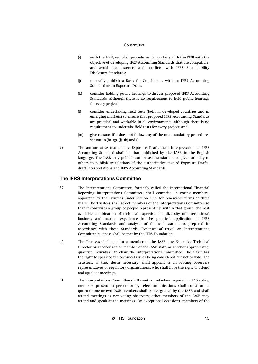- <span id="page-15-0"></span>(i) with the ISSB, establish procedures for working with the ISSB with the objective of developing IFRS Accounting Standards that are compatible, and avoid inconsistences and conflicts, with IFRS Sustainability Disclosure Standards;
- (j) normally publish a Basis for Conclusions with an IFRS Accounting Standard or an Exposure Draft;
- (k) consider holding public hearings to discuss proposed IFRS Accounting Standards, although there is no requirement to hold public hearings for every project;
- (l) consider undertaking field tests (both in developed countries and in emerging markets) to ensure that proposed IFRS Accounting Standards are practical and workable in all environments, although there is no requirement to undertake field tests for every project; and
- (m) give reasons if it does not follow any of the non-mandatory procedures set out in  $(b)$ ,  $(g)$ ,  $(i)$ ,  $(k)$  and  $(l)$ .
- The authoritative text of any Exposure Draft, draft Interpretation or IFRS Accounting Standard shall be that published by the IASB in the English language. The IASB may publish authorised translations or give authority to others to publish translations of the authoritative text of Exposure Drafts, draft Interpretations and IFRS Accounting Standards. 38

## **The IFRS Interpretations Committee**

- The Interpretations Committee, formerly called the International Financial Reporting Interpretations Committee, shall comprise 14 voting members, appointed by the Trustees under [section 16\(c\)](#page-9-0) for renewable terms of three years. The Trustees shall select members of the Interpretations Committee so that it comprises a group of people representing, within that group, the best available combination of technical expertise and diversity of international business and market experience in the practical application of IFRS Accounting Standards and analysis of financial statements prepared in accordance with those Standards. Expenses of travel on Interpretations Committee business shall be met by the IFRS Foundation. 39
- The Trustees shall appoint a member of the IASB, the Executive Technical Director or another senior member of the IASB staff, or another appropriately qualified individual, to chair the Interpretations Committee. The Chair has the right to speak to the technical issues being considered but not to vote. The Trustees, as they deem necessary, shall appoint as non-voting observers representatives of regulatory organisations, who shall have the right to attend and speak at meetings. 40
- The Interpretations Committee shall meet as and when required and 10 voting members present in person or by telecommunications shall constitute a quorum: one or two IASB members shall be designated by the IASB and shall attend meetings as non-voting observers; other members of the IASB may attend and speak at the meetings. On exceptional occasions, members of the 41

© IFRS Foundation 15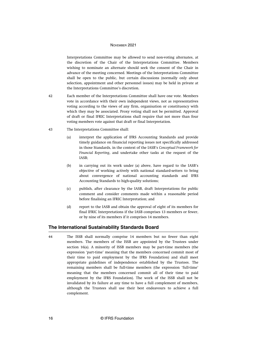<span id="page-16-0"></span>Interpretations Committee may be allowed to send non-voting alternates, at the discretion of the Chair of the Interpretations Committee. Members wishing to nominate an alternate should seek the consent of the Chair in advance of the meeting concerned. Meetings of the Interpretations Committee shall be open to the public, but certain discussions (normally only about selection, appointment and other personnel issues) may be held in private at the Interpretations Committee's discretion.

- Each member of the Interpretations Committee shall have one vote. Members vote in accordance with their own independent views, not as representatives voting according to the views of any firm, organisation or constituency with which they may be associated. Proxy voting shall not be permitted. Approval of draft or final IFRIC Interpretations shall require that not more than four voting members vote against that draft or final Interpretation. 42
- The Interpretations Committee shall: 43
	- (a) interpret the application of IFRS Accounting Standards and provide timely guidance on financial reporting issues not specifically addressed in those Standards, in the context of the IASB's *Conceptual Framework for Financial Reporting*, and undertake other tasks at the request of the IASB;
	- (b) in carrying out its work under (a) above, have regard to the IASB's objective of working actively with national standard-setters to bring about convergence of national accounting standards and IFRS Accounting Standards to high-quality solutions;
	- (c) publish, after clearance by the IASB, draft Interpretations for public comment and consider comments made within a reasonable period before finalising an IFRIC Interpretation; and
	- (d) report to the IASB and obtain the approval of eight of its members for final IFRIC Interpretations if the IASB comprises 13 members or fewer, or by nine of its members if it comprises 14 members.

#### **The International Sustainability Standards Board**

The ISSB shall normally comprise 14 members but no fewer than eight members. The members of the ISSB are appointed by the Trustees under [section 16\(a\).](#page-9-0) A minority of ISSB members may be part-time members (the expression 'part-time' meaning that the members concerned commit most of their time to paid employment by the IFRS Foundation) and shall meet appropriate guidelines of independence established by the Trustees. The remaining members shall be full-time members (the expression 'full-time' meaning that the members concerned commit all of their time to paid employment by the IFRS Foundation). The work of the ISSB shall not be invalidated by its failure at any time to have a full complement of members, although the Trustees shall use their best endeavours to achieve a full complement. 44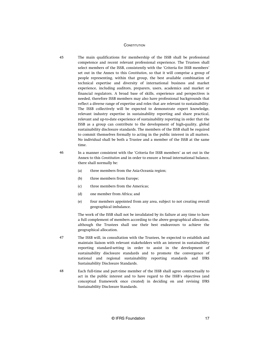- The main qualifications for membership of the ISSB shall be professional competence and recent relevant professional experience. The Trustees shall select members of the ISSB, consistently with the 'Criteria for ISSB members' set out in the [Annex to this](#page-22-0) *Constitution*, so that it will comprise a group of people representing, within that group, the best available combination of technical expertise and diversity of international business and market experience, including auditors, preparers, users, academics and market or financial regulators. A broad base of skills, experience and perspectives is needed, therefore ISSB members may also have professional backgrounds that reflect a diverse range of expertise and roles that are relevant to sustainability. The ISSB collectively will be expected to demonstrate expert knowledge, relevant industry expertise in sustainability reporting and share practical, relevant and up-to-date experience of sustainability reporting in order that the ISSB as a group can contribute to the development of high-quality, global sustainability disclosure standards. The members of the ISSB shall be required to commit themselves formally to acting in the public interest in all matters. No individual shall be both a Trustee and a member of the ISSB at the same time.
- In a manner consistent with the 'Criteria for ISSB members' as set out in the [Annex to this](#page-22-0) *Constitution* and in order to ensure a broad international balance, there shall normally be: 46
	- (a) three members from the Asia-Oceania region;
	- (b) three members from Europe;
	- (c) three members from the Americas;
	- (d) one member from Africa; and
	- (e) four members appointed from any area, subject to not creating overall geographical imbalance.

The work of the ISSB shall not be invalidated by its failure at any time to have a full complement of members according to the above geographical allocation, although the Trustees shall use their best endeavours to achieve the geographical allocation.

- The ISSB will, in consultation with the Trustees, be expected to establish and maintain liaison with relevant stakeholders with an interest in sustainability reporting standard-setting in order to assist in the development of sustainability disclosure standards and to promote the convergence of national and regional sustainability reporting standards and IFRS Sustainability Disclosure Standards. 47
- Each full-time and part-time member of the ISSB shall agree contractually to act in the public interest and to have regard to the ISSB's objectives (and conceptual framework once created) in deciding on and revising IFRS Sustainability Disclosure Standards. 48

45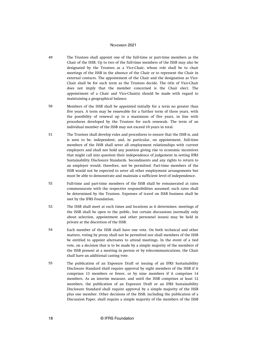- <span id="page-18-0"></span>The Trustees shall appoint one of the full-time or part-time members as the Chair of the ISSB. Up to two of the full-time members of the ISSB may also be designated by the Trustees as a Vice-Chair, whose role shall be to chair meetings of the ISSB in the absence of the Chair or to represent the Chair in external contacts. The appointment of the Chair and the designation as Vice-Chair shall be for such term as the Trustees decide. The title of Vice-Chair does not imply that the member concerned is the Chair elect. The appointment of a Chair and Vice-Chair(s) should be made with regard to maintaining a geographical balance. 49
- Members of the ISSB shall be appointed initially for a term no greater than five years. A term may be renewable for a further term of three years, with the possibility of renewal up to a maximum of five years, in line with procedures developed by the Trustees for such renewals. The term of an individual member of the ISSB may not exceed 10 years in total. 50
- The Trustees shall develop rules and procedures to ensure that the ISSB is, and is seen to be, independent, and, in particular, on appointment, full-time members of the ISSB shall sever all employment relationships with current employers and shall not hold any position giving rise to economic incentives that might call into question their independence of judgement in setting IFRS Sustainability Disclosure Standards. Secondments and any rights to return to an employer would, therefore, not be permitted. Part-time members of the ISSB would not be expected to sever all other employment arrangements but must be able to demonstrate and maintain a sufficient level of independence. 51
- Full-time and part-time members of the ISSB shall be remunerated at rates commensurate with the respective responsibilities assumed; such rates shall be determined by the Trustees. Expenses of travel on ISSB business shall be met by the IFRS Foundation. 52
- The ISSB shall meet at such times and locations as it determines; meetings of the ISSB shall be open to the public, but certain discussions (normally only about selection, appointment and other personnel issues) may be held in private at the discretion of the ISSB. 53
- Each member of the ISSB shall have one vote. On both technical and other matters, voting by proxy shall not be permitted nor shall members of the ISSB be entitled to appoint alternates to attend meetings. In the event of a tied vote, on a decision that is to be made by a simple majority of the members of the ISSB present at a meeting in person or by telecommunications, the Chair shall have an additional casting vote. 54
- The publication of an Exposure Draft or issuing of an IFRS Sustainability Disclosure Standard shall require approval by eight members of the ISSB if it comprises 13 members or fewer, or by nine members if it comprises 14 members. As an interim measure, and until the ISSB comprises at least 12 members, the publication of an Exposure Draft or an IFRS Sustainability Disclosure Standard shall require approval by a simple majority of the ISSB plus one member. Other decisions of the ISSB, including the publication of a Discussion Paper, shall require a simple majority of the members of the ISSB 55

18 © IFRS Foundation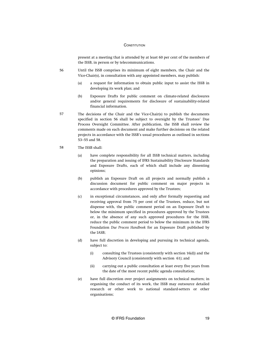present at a meeting that is attended by at least 60 per cent of the members of the ISSB, in person or by telecommunications.

- Until the ISSB comprises its minimum of eight members, the Chair and the Vice-Chair(s), in consultation with any appointed members, may publish: 56
	- (a) a request for information to obtain public input to assist the ISSB in developing its work plan; and
	- (b) Exposure Drafts for public comment on climate-related disclosures and/or general requirements for disclosure of sustainability-related financial information.
- The decisions of the Chair and the Vice-Chair(s) to publish the documents specified in section 56 shall be subject to oversight by the Trustees' Due Process Oversight Committee. After publication, the ISSB shall review the comments made on each document and make further decisions on the related projects in accordance with the ISSB's usual procedures as outlined in [sections](#page-18-0) [53–55](#page-18-0) and 58. 57
- The ISSB shall: 58
	- (a) have complete responsibility for all ISSB technical matters, including the preparation and issuing of IFRS Sustainability Disclosure Standards and Exposure Drafts, each of which shall include any dissenting opinions;
	- (b) publish an Exposure Draft on all projects and normally publish a discussion document for public comment on major projects in accordance with procedures approved by the Trustees;
	- (c) in exceptional circumstances, and only after formally requesting and receiving approval from 75 per cent of the Trustees, reduce, but not dispense with, the public comment period on an Exposure Draft to below the minimum specified in procedures approved by the Trustees or, in the absence of any such approved procedures for the ISSB, reduce the public comment period to below the minimum in the IFRS Foundation *Due Process Handbook* for an Exposure Draft published by the IASB;
	- (d) have full discretion in developing and pursuing its technical agenda, subject to:
		- (i) consulting the Trustees (consistently with [section 16\(d\)](#page-9-0)) and the Advisory Council (consistently with [section 61](#page-20-0)); and
		- (ii) carrying out a public consultation at least every five years from the date of the most recent public agenda consultation;
	- (e) have full discretion over project assignments on technical matters; in organising the conduct of its work, the ISSB may outsource detailed research or other work to national standard-setters or other organisations;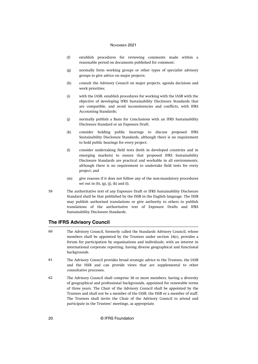- <span id="page-20-0"></span>(f) establish procedures for reviewing comments made within a reasonable period on documents published for comment;
- (g) normally form working groups or other types of specialist advisory groups to give advice on major projects;
- (h) consult the Advisory Council on major projects, agenda decisions and work priorities;
- (i) with the IASB, establish procedures for working with the IASB with the objective of developing IFRS Sustainability Disclosure Standards that are compatible, and avoid inconsistencies and conflicts, with IFRS Accounting Standards;
- (j) normally publish a Basis for Conclusions with an IFRS Sustainability Disclosure Standard or an Exposure Draft;
- (k) consider holding public hearings to discuss proposed IFRS Sustainability Disclosure Standards, although there is no requirement to hold public hearings for every project;
- (l) consider undertaking field tests (both in developed countries and in emerging markets) to ensure that proposed IFRS Sustainability Disclosure Standards are practical and workable in all environments, although there is no requirement to undertake field tests for every project; and
- (m) give reasons if it does not follow any of the non-mandatory procedures set out in  $(b)$ ,  $(g)$ ,  $(i)$ ,  $(k)$  and  $(l)$ .
- The authoritative text of any Exposure Draft or IFRS Sustainability Disclosure Standard shall be that published by the ISSB in the English language. The ISSB may publish authorised translations or give authority to others to publish translations of the authoritative text of Exposure Drafts and IFRS Sustainability Disclosure Standards. 59

## **The IFRS Advisory Council**

- The Advisory Council, formerly called the Standards Advisory Council, whose members shall be appointed by the Trustees under [section 16\(c\)](#page-9-0), provides a forum for participation by organisations and individuals, with an interest in international corporate reporting, having diverse geographical and functional backgrounds. 60
- The Advisory Council provides broad strategic advice to the Trustees, the IASB and the ISSB and can provide views that are supplemental to other consultative processes. 61
- The Advisory Council shall comprise 30 or more members, having a diversity of geographical and professional backgrounds, appointed for renewable terms of three years. The Chair of the Advisory Council shall be appointed by the Trustees and shall not be a member of the IASB, the ISSB or a member of staff. The Trustees shall invite the Chair of the Advisory Council to attend and participate in the Trustees' meetings, as appropriate. 62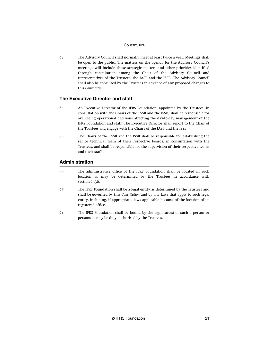<span id="page-21-0"></span>The Advisory Council shall normally meet at least twice a year. Meetings shall be open to the public. The matters on the agenda for the Advisory Council's meetings will include those strategic matters and other priorities identified through consultation among the Chair of the Advisory Council and representatives of the Trustees, the IASB and the ISSB. The Advisory Council shall also be consulted by the Trustees in advance of any proposed changes to this *Constitution*. 63

## **The Executive Director and staff**

- An Executive Director of the IFRS Foundation, appointed by the Trustees, in consultation with the Chairs of the IASB and the ISSB, shall be responsible for overseeing operational decisions affecting the day-to-day management of the IFRS Foundation and staff. The Executive Director shall report to the Chair of the Trustees and engage with the Chairs of the IASB and the ISSB. 64
- The Chairs of the IASB and the ISSB shall be responsible for establishing the senior technical team of their respective boards, in consultation with the Trustees, and shall be responsible for the supervision of their respective teams and their staffs. 65

## **Administration**

- The administrative office of the IFRS Foundation shall be located in such location as may be determined by the Trustees in accordance with [section 14\(d\)](#page-9-0). 66
- The IFRS Foundation shall be a legal entity as determined by the Trustees and shall be governed by this *Constitution* and by any laws that apply to such legal entity, including, if appropriate, laws applicable because of the location of its registered office. 67
- The IFRS Foundation shall be bound by the signature(s) of such a person or persons as may be duly authorised by the Trustees. 68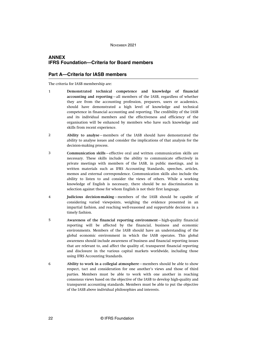## <span id="page-22-0"></span>**ANNEX IFRS Foundation—Criteria for Board members**

## **Part A—Criteria for IASB members**

The criteria for IASB membership are:

- **Demonstrated technical competence and knowledge of financial accounting and reporting**—all members of the IASB, regardless of whether they are from the accounting profession, preparers, users or academics, should have demonstrated a high level of knowledge and technical competence in financial accounting and reporting. The credibility of the IASB and its individual members and the effectiveness and efficiency of the organisation will be enhanced by members who have such knowledge and skills from recent experience. 1
- **Ability to analyse**—members of the IASB should have demonstrated the ability to analyse issues and consider the implications of that analysis for the decision-making process.  $\overline{2}$
- **Communication skills**—effective oral and written communication skills are necessary. These skills include the ability to communicate effectively in private meetings with members of the IASB, in public meetings, and in written materials such as IFRS Accounting Standards, speeches, articles, memos and external correspondence. Communication skills also include the ability to listen to and consider the views of others. While a working knowledge of English is necessary, there should be no discrimination in selection against those for whom English is not their first language. 3
- **Judicious decision-making**—members of the IASB should be capable of considering varied viewpoints, weighing the evidence presented in an impartial fashion, and reaching well-reasoned and supportable decisions in a timely fashion. 4
- **Awareness of the financial reporting environment**—high-quality financial reporting will be affected by the financial, business and economic environments. Members of the IASB should have an understanding of the global economic environment in which the IASB operates. This global awareness should include awareness of business and financial reporting issues that are relevant to, and affect the quality of, transparent financial reporting and disclosure in the various capital markets worldwide, including those using IFRS Accounting Standards. 5
- **Ability to work in a collegial atmosphere**—members should be able to show respect, tact and consideration for one another's views and those of third parties. Members must be able to work with one another in reaching consensus views based on the objective of the IASB to develop high-quality and transparent accounting standards. Members must be able to put the objective of the IASB above individual philosophies and interests. 6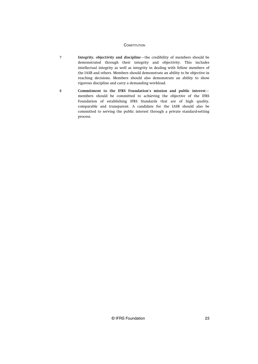- **Integrity, objectivity and discipline**—the credibility of members should be demonstrated through their integrity and objectivity. This includes intellectual integrity as well as integrity in dealing with fellow members of the IASB and others. Members should demonstrate an ability to be objective in reaching decisions. Members should also demonstrate an ability to show rigorous discipline and carry a demanding workload. 7
- **Commitment to the IFRS Foundation's mission and public interest** members should be committed to achieving the objective of the IFRS Foundation of establishing IFRS Standards that are of high quality, comparable and transparent. A candidate for the IASB should also be committed to serving the public interest through a private standard-setting process. 8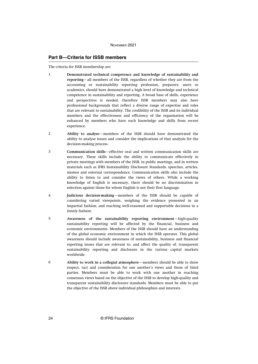## <span id="page-24-0"></span>**Part B—Criteria for ISSB members**

The criteria for ISSB membership are:

- **Demonstrated technical competence and knowledge of sustainability and reporting**—all members of the ISSB, regardless of whether they are from the accounting or sustainability reporting profession, preparers, users or academics, should have demonstrated a high level of knowledge and technical competence in sustainability and reporting. A broad base of skills, experience and perspectives is needed, therefore ISSB members may also have professional backgrounds that reflect a diverse range of expertise and roles that are relevant to sustainability. The credibility of the ISSB and its individual members and the effectiveness and efficiency of the organisation will be enhanced by members who have such knowledge and skills from recent experience. 1
- **Ability to analyse**—members of the ISSB should have demonstrated the ability to analyse issues and consider the implications of that analysis for the decision-making process.  $\overline{2}$
- **Communication skills**—effective oral and written communication skills are necessary. These skills include the ability to communicate effectively in private meetings with members of the ISSB, in public meetings, and in written materials such as IFRS Sustainability Disclosure Standards, speeches, articles, memos and external correspondence. Communication skills also include the ability to listen to and consider the views of others. While a working knowledge of English is necessary, there should be no discrimination in selection against those for whom English is not their first language. 3
- **Judicious decision-making**—members of the ISSB should be capable of considering varied viewpoints, weighing the evidence presented in an impartial fashion, and reaching well-reasoned and supportable decisions in a timely fashion. 4
- **Awareness of the sustainability reporting environment**—high-quality sustainability reporting will be affected by the financial, business and economic environments. Members of the ISSB should have an understanding of the global economic environment in which the ISSB operates. This global awareness should include awareness of sustainability, business and financial reporting issues that are relevant to, and affect the quality of, transparent sustainability reporting and disclosure in the various capital markets worldwide. 5
- **Ability to work in a collegial atmosphere**—members should be able to show respect, tact and consideration for one another's views and those of third parties. Members must be able to work with one another in reaching consensus views based on the objective of the ISSB to develop high-quality and transparent sustainability disclosure standards. Members must be able to put the objective of the ISSB above individual philosophies and interests. 6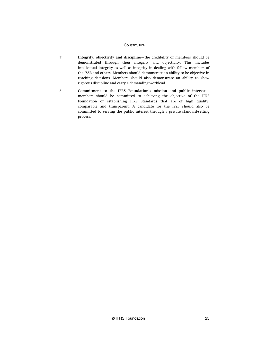- **Integrity, objectivity and discipline**—the credibility of members should be demonstrated through their integrity and objectivity. This includes intellectual integrity as well as integrity in dealing with fellow members of the ISSB and others. Members should demonstrate an ability to be objective in reaching decisions. Members should also demonstrate an ability to show rigorous discipline and carry a demanding workload. 7
- **Commitment to the IFRS Foundation's mission and public interest** members should be committed to achieving the objective of the IFRS Foundation of establishing IFRS Standards that are of high quality, comparable and transparent. A candidate for the ISSB should also be committed to serving the public interest through a private standard-setting process. 8